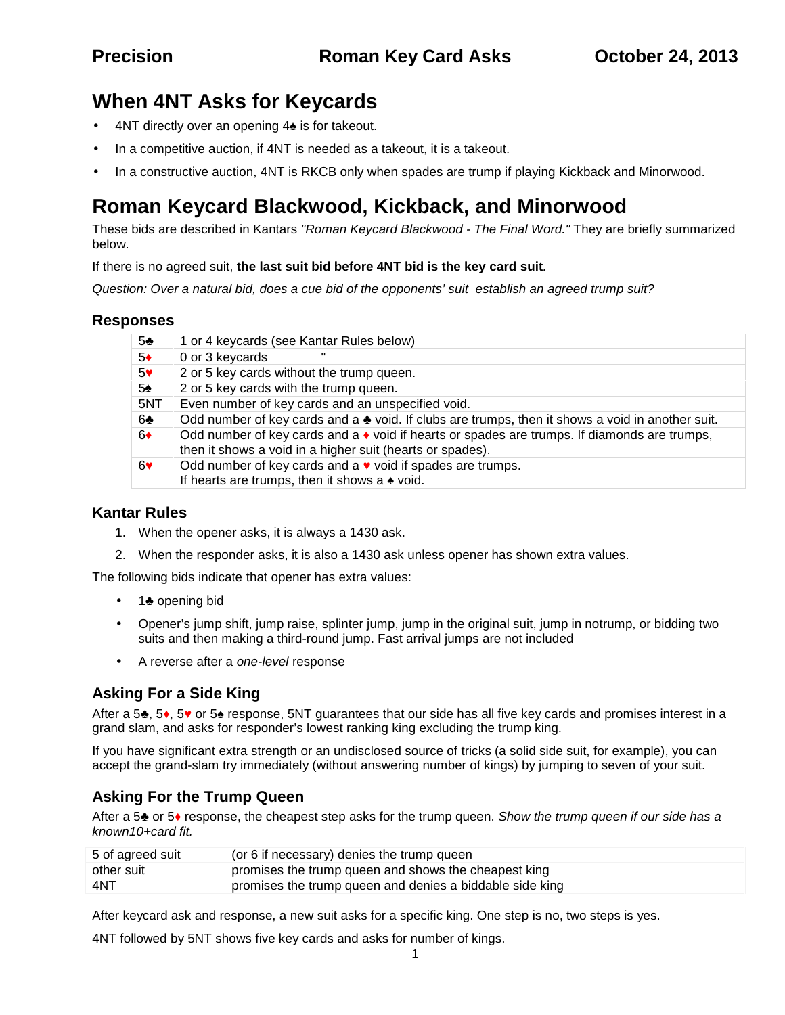# **When 4NT Asks for Keycards**

- 4NT directly over an opening 4 is for takeout.
- In a competitive auction, if 4NT is needed as a takeout, it is a takeout.
- In a constructive auction, 4NT is RKCB only when spades are trump if playing Kickback and Minorwood.

# **Roman Keycard Blackwood, Kickback, and Minorwood**

These bids are described in Kantars *"Roman Keycard Blackwood - The FinalWord."* They are briefly summarized below.

### If there is no agreed suit, **the last suit bid before 4NT bid is the key card suit***.*

*Question: Over a natural bid, does a cue bid of the opponents' suit establish an agreed trump suit?*

# **Responses**

| 1 or 4 keycards (see Kantar Rules below)                                                                                                                |
|---------------------------------------------------------------------------------------------------------------------------------------------------------|
| 0 or 3 keycards                                                                                                                                         |
| 2 or 5 key cards without the trump queen.                                                                                                               |
| 2 or 5 key cards with the trump queen.                                                                                                                  |
| Even number of key cards and an unspecified void.                                                                                                       |
| Odd number of key cards and a void. If clubs are trumps, then it shows a void in another suit.                                                          |
| Odd number of key cards and a void if hearts or spades are trumps. If diamonds are trumps,<br>then it shows a void in a higher suit (hearts or spades). |
| Odd number of key cards and a void if spades are trumps.<br>If hearts are trumps, then it shows a void.                                                 |
|                                                                                                                                                         |

## **Kantar Rules**

- 1. When the opener asks, it is always a 1430 ask.
- 2. When the responder asks, it is also a 1430 ask unless opener has shown extra values.

The following bids indicate that opener has extra values:

- 1 opening bid
- Opener's jump shift, jump raise, splinter jump, jump in the original suit, jump in notrump, or bidding two suits and then making a third-round jump. Fast arrival jumps are not included
- A reverse after a *one-level* response

# **Asking For a Side King**

After a 5 , 5 , 5 or 5 response, 5NT guarantees that our side has all five key cards and promises interest in a grand slam, and asks for responder's lowest ranking king excluding the trump king.

If you have significant extra strength or an undisclosed source of tricks (a solid side suit, for example), you can accept the grand-slam try immediately (without answering number of kings) by jumping to seven of your suit.

# **Asking For the Trump Queen**

After a 5 or 5 response, the cheapest step asks for the trump queen. *Show the trump queen if our side has a known10+card fit.*

| 5 of agreed suit | (or 6 if necessary) denies the trump queen               |
|------------------|----------------------------------------------------------|
| other suit       | promises the trump queen and shows the cheapest king     |
| 4NT              | promises the trump queen and denies a biddable side king |

After keycard ask and response, a new suit asks for a specific king. One step is no, two steps is yes.

4NT followed by 5NT shows five key cards and asks for number of kings.